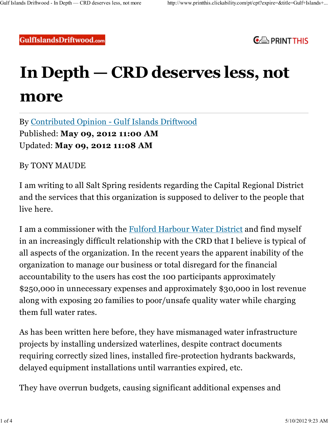**GulfIslandsDriftwood.com** 



## **In Depth — CRD deserves less, not more**

By Contributed Opinion - Gulf Islands Driftwood Published: **May 09, 2012 11:00 AM** Updated: **May 09, 2012 11:08 AM**

By TONY MAUDE

I am writing to all Salt Spring residents regarding the Capital Regional District and the services that this organization is supposed to deliver to the people that live here.

I am a commissioner with the Fulford Harbour Water District and find myself in an increasingly difficult relationship with the CRD that I believe is typical of all aspects of the organization. In the recent years the apparent inability of the organization to manage our business or total disregard for the financial accountability to the users has cost the 100 participants approximately \$250,000 in unnecessary expenses and approximately \$30,000 in lost revenue along with exposing 20 families to poor/unsafe quality water while charging them full water rates.

As has been written here before, they have mismanaged water infrastructure projects by installing undersized waterlines, despite contract documents requiring correctly sized lines, installed fire-protection hydrants backwards, delayed equipment installations until warranties expired, etc.

They have overrun budgets, causing significant additional expenses and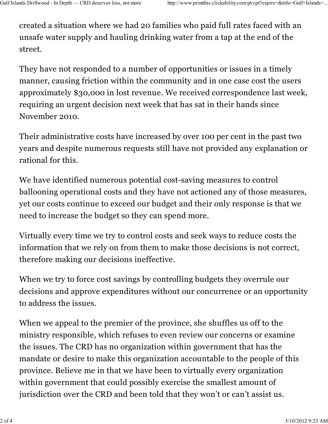created a situation where we had 20 families who paid full rates faced with an unsafe water supply and hauling drinking water from a tap at the end of the street.

They have not responded to a number of opportunities or issues in a timely manner, causing friction within the community and in one case cost the users approximately \$30,000 in lost revenue. We received correspondence last week, requiring an urgent decision next week that has sat in their hands since November 2010.

Their administrative costs have increased by over 100 per cent in the past two years and despite numerous requests still have not provided any explanation or rational for this.

We have identified numerous potential cost-saving measures to control ballooning operational costs and they have not actioned any of those measures, yet our costs continue to exceed our budget and their only response is that we need to increase the budget so they can spend more.

Virtually every time we try to control costs and seek ways to reduce costs the information that we rely on from them to make those decisions is not correct, therefore making our decisions ineffective.

When we try to force cost savings by controlling budgets they overrule our decisions and approve expenditures without our concurrence or an opportunity to address the issues.

When we appeal to the premier of the province, she shuffles us off to the ministry responsible, which refuses to even review our concerns or examine the issues. The CRD has no organization within government that has the mandate or desire to make this organization accountable to the people of this province. Believe me in that we have been to virtually every organization within government that could possibly exercise the smallest amount of jurisdiction over the CRD and been told that they won't or can't assist us.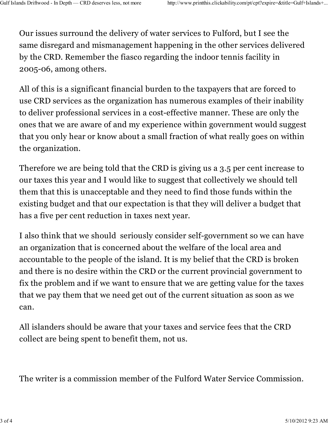Our issues surround the delivery of water services to Fulford, but I see the same disregard and mismanagement happening in the other services delivered by the CRD. Remember the fiasco regarding the indoor tennis facility in 2005-06, among others.

All of this is a significant financial burden to the taxpayers that are forced to use CRD services as the organization has numerous examples of their inability to deliver professional services in a cost-effective manner. These are only the ones that we are aware of and my experience within government would suggest that you only hear or know about a small fraction of what really goes on within the organization.

Therefore we are being told that the CRD is giving us a 3.5 per cent increase to our taxes this year and I would like to suggest that collectively we should tell them that this is unacceptable and they need to find those funds within the existing budget and that our expectation is that they will deliver a budget that has a five per cent reduction in taxes next year.

I also think that we should seriously consider self-government so we can have an organization that is concerned about the welfare of the local area and accountable to the people of the island. It is my belief that the CRD is broken and there is no desire within the CRD or the current provincial government to fix the problem and if we want to ensure that we are getting value for the taxes that we pay them that we need get out of the current situation as soon as we can.

All islanders should be aware that your taxes and service fees that the CRD collect are being spent to benefit them, not us.

The writer is a commission member of the Fulford Water Service Commission.